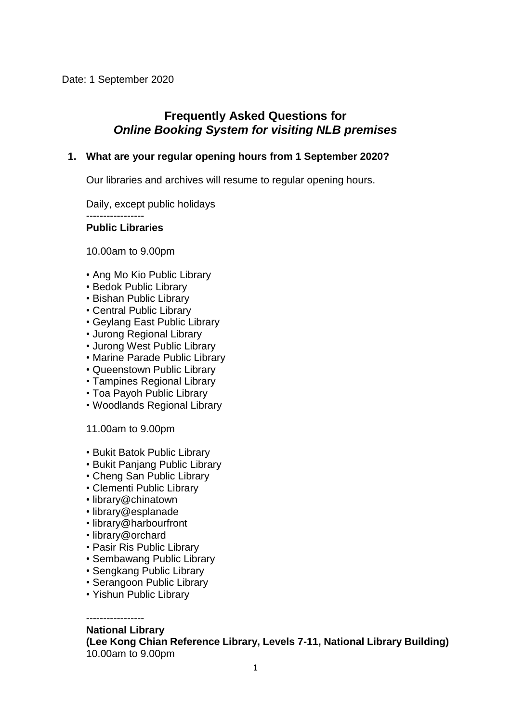# **Frequently Asked Questions for** *Online Booking System for visiting NLB premises*

### **1. What are your regular opening hours from 1 September 2020?**

Our libraries and archives will resume to regular opening hours.

Daily, except public holidays

**Public Libraries**

10.00am to 9.00pm

- Ang Mo Kio Public Library
- Bedok Public Library
- Bishan Public Library
- Central Public Library
- Geylang East Public Library
- Jurong Regional Library
- Jurong West Public Library
- Marine Parade Public Library
- Queenstown Public Library
- Tampines Regional Library
- Toa Payoh Public Library
- Woodlands Regional Library
- 11.00am to 9.00pm
- Bukit Batok Public Library
- Bukit Panjang Public Library
- Cheng San Public Library
- Clementi Public Library
- library@chinatown
- library@esplanade
- library@harbourfront
- library@orchard
- Pasir Ris Public Library
- Sembawang Public Library
- Sengkang Public Library
- Serangoon Public Library
- Yishun Public Library

### **National Library**

**(Lee Kong Chian Reference Library, Levels 7-11, National Library Building)** 10.00am to 9.00pm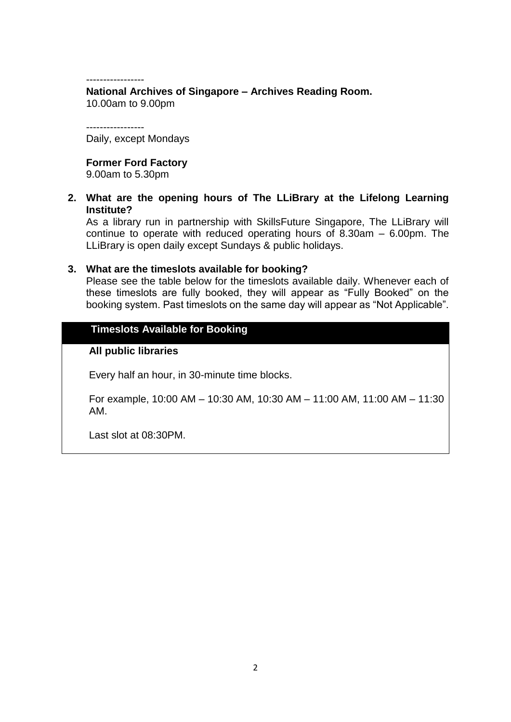-----------------

-----------------

**National Archives of Singapore – Archives Reading Room.** 10.00am to 9.00pm

Daily, except Mondays

### **Former Ford Factory**

9.00am to 5.30pm

**2. What are the opening hours of The LLiBrary at the Lifelong Learning Institute?** 

As a library run in partnership with SkillsFuture Singapore, The LLiBrary will continue to operate with reduced operating hours of  $\ddot{\text{8.30am}} - 6.00 \text{pm}$ . The LLiBrary is open daily except Sundays & public holidays.

#### **3. What are the timeslots available for booking?**

Please see the table below for the timeslots available daily. Whenever each of these timeslots are fully booked, they will appear as "Fully Booked" on the booking system. Past timeslots on the same day will appear as "Not Applicable".

## **Timeslots Available for Booking**

#### **All public libraries**

Every half an hour, in 30-minute time blocks.

For example, 10:00 AM – 10:30 AM, 10:30 AM – 11:00 AM, 11:00 AM – 11:30 AM.

Last slot at 08:30PM.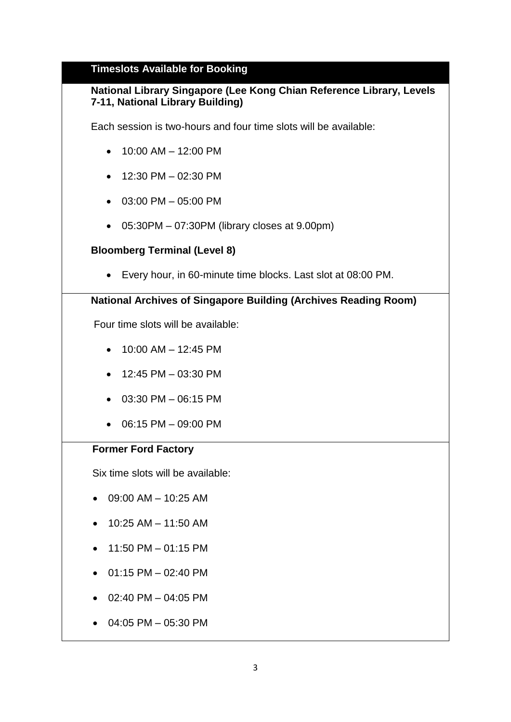## **Timeslots Available for Booking**

# **National Library Singapore (Lee Kong Chian Reference Library, Levels 7-11, National Library Building)**

Each session is two-hours and four time slots will be available:

- $\bullet$  10:00 AM 12:00 PM
- $\bullet$  12:30 PM 02:30 PM
- 03:00 PM 05:00 PM
- 05:30PM 07:30PM (library closes at 9.00pm)

# **Bloomberg Terminal (Level 8)**

• Every hour, in 60-minute time blocks. Last slot at 08:00 PM.

## **National Archives of Singapore Building (Archives Reading Room)**

Four time slots will be available:

- $\bullet$  10:00 AM 12:45 PM
- 12:45 PM 03:30 PM
- 03:30 PM 06:15 PM
- 06:15 PM 09:00 PM

### **Former Ford Factory**

Six time slots will be available:

- $\bullet$  09:00 AM 10:25 AM
- $\bullet$  10:25 AM 11:50 AM
- 11:50 PM 01:15 PM
- $\bullet$  01:15 PM 02:40 PM
- $\bullet$  02:40 PM 04:05 PM
- 04:05 PM 05:30 PM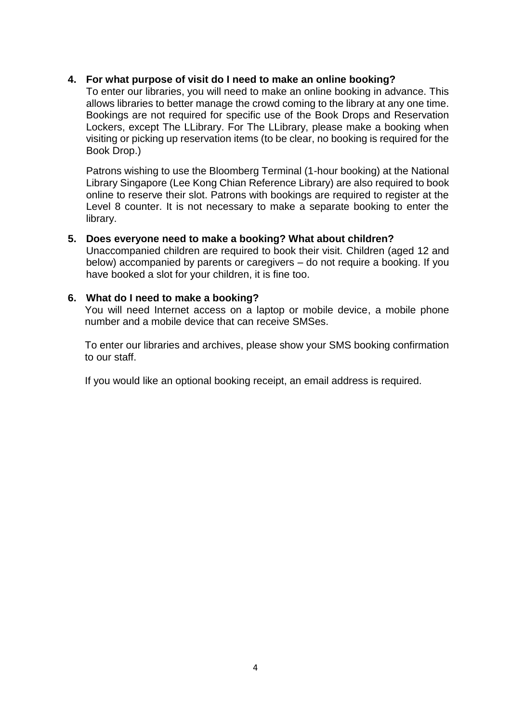### **4. For what purpose of visit do I need to make an online booking?**

To enter our libraries, you will need to make an online booking in advance. This allows libraries to better manage the crowd coming to the library at any one time. Bookings are not required for specific use of the Book Drops and Reservation Lockers, except The LLibrary. For The LLibrary, please make a booking when visiting or picking up reservation items (to be clear, no booking is required for the Book Drop.)

Patrons wishing to use the Bloomberg Terminal (1-hour booking) at the National Library Singapore (Lee Kong Chian Reference Library) are also required to book online to reserve their slot. Patrons with bookings are required to register at the Level 8 counter. It is not necessary to make a separate booking to enter the library.

### **5. Does everyone need to make a booking? What about children?**

Unaccompanied children are required to book their visit. Children (aged 12 and below) accompanied by parents or caregivers – do not require a booking. If you have booked a slot for your children, it is fine too.

### **6. What do I need to make a booking?**

You will need Internet access on a laptop or mobile device, a mobile phone number and a mobile device that can receive SMSes.

To enter our libraries and archives, please show your SMS booking confirmation to our staff.

If you would like an optional booking receipt, an email address is required.